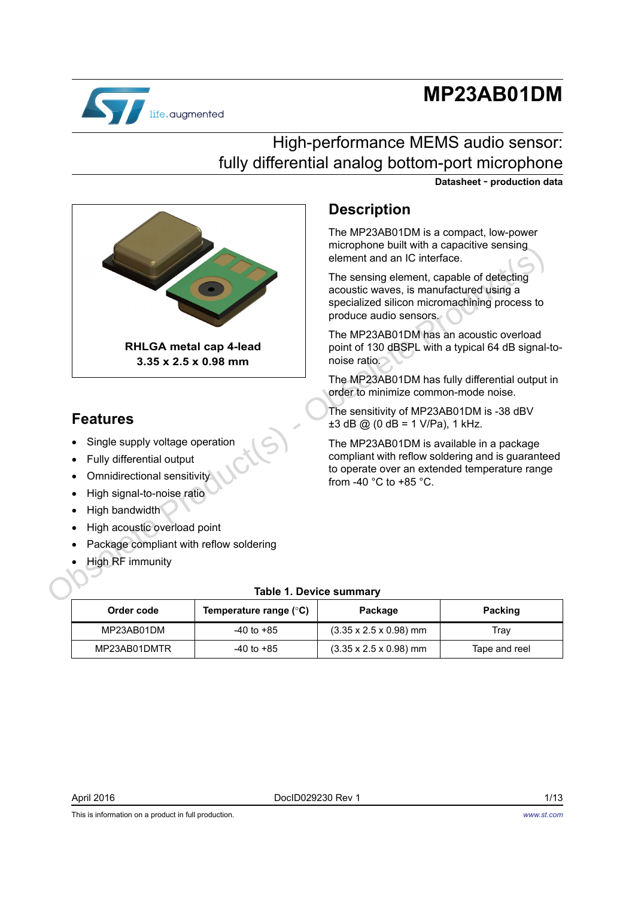# **MP23AB01DM**



### High-performance MEMS audio sensor: fully differential analog bottom-port microphone

**Datasheet** - **production data**



### **Features**

- Single supply voltage operation
- Fully differential output
- Omnidirectional sensitivity
- High signal-to-noise ratio
- High bandwidth
- High acoustic overload point
- Package compliant with reflow soldering
- High RF immunity

#### **Description**

The MP23AB01DM is a compact, low-power microphone built with a capacitive sensing element and an IC interface.

The sensing element, capable of detecting acoustic waves, is manufactured using a specialized silicon micromachining process to produce audio sensors.

The MP23AB01DM has an acoustic overload point of 130 dBSPL with a typical 64 dB signal-tonoise ratio.

The MP23AB01DM has fully differential output in order to minimize common-mode noise.

The sensitivity of MP23AB01DM is -38 dBV  $\pm 3$  dB @ (0 dB = 1 V/Pa), 1 kHz.

The MP23AB01DM is available in a package compliant with reflow soldering and is guaranteed to operate over an extended temperature range from -40  $^{\circ}$ C to +85  $^{\circ}$ C.

#### **Table 1. Device summary**

| Order code   | Temperature range $(^\circ \text{C})$ | Package                            | Packing       |
|--------------|---------------------------------------|------------------------------------|---------------|
| MP23AB01DM   | -40 to +85                            | $(3.35 \times 2.5 \times 0.98)$ mm | Trav          |
| MP23AB01DMTR | -40 to +85                            | $(3.35 \times 2.5 \times 0.98)$ mm | Tape and reel |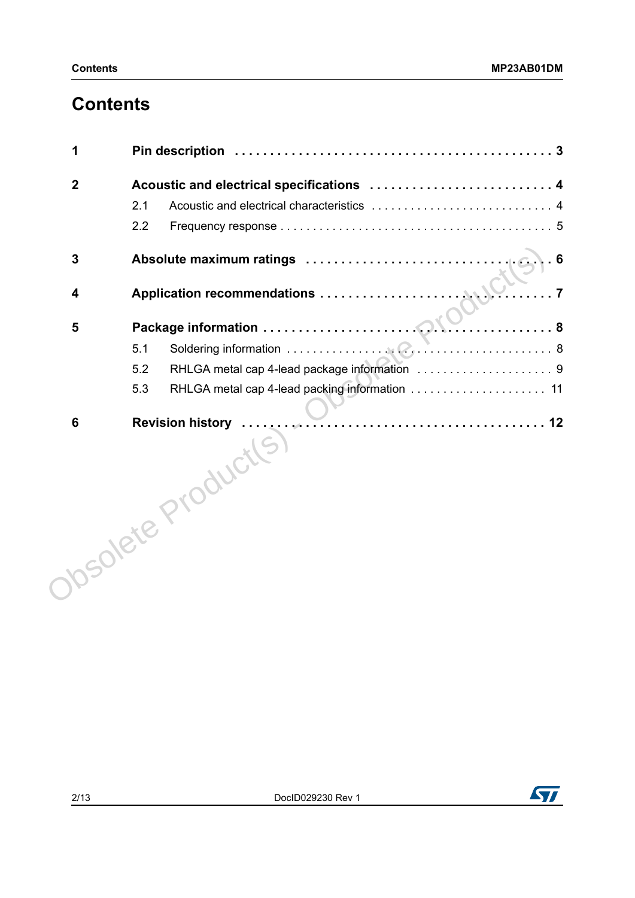## **Contents**

| 1                       |                                           |
|-------------------------|-------------------------------------------|
| $\boldsymbol{2}$        | Acoustic and electrical specifications  4 |
|                         | 2.1                                       |
|                         | 2.2                                       |
| $\mathbf{3}$            | $\sqrt{6}$                                |
| $\overline{\mathbf{4}}$ |                                           |
| 5                       |                                           |
|                         | 5.1                                       |
|                         | 5.2                                       |
|                         | 5.3                                       |
| 6                       | $\sqrt{5}$<br>Josolete Product            |

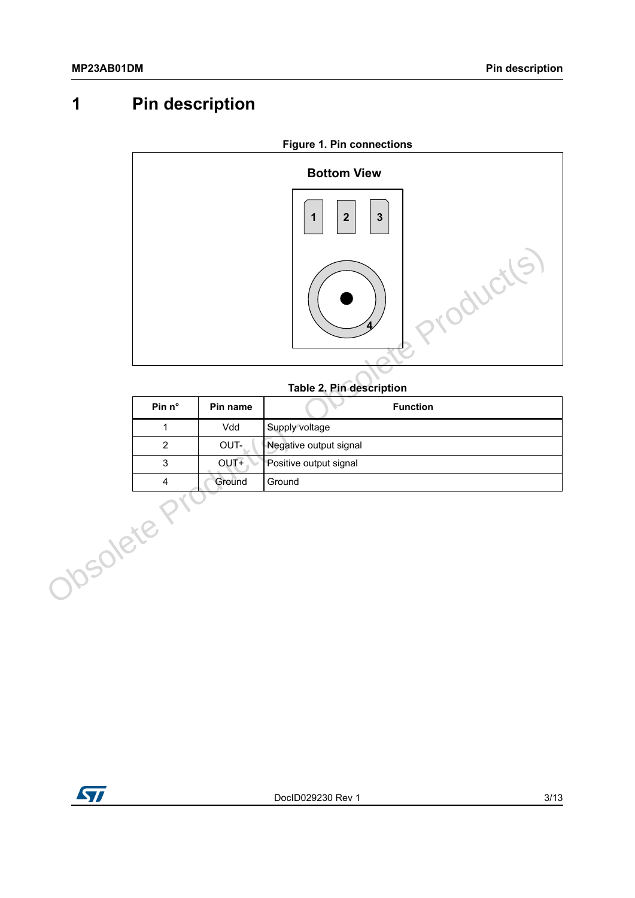## <span id="page-2-0"></span>**1 Pin description**



#### **Table 2. Pin description**

| Pin $n^{\circ}$ | Pin name | <b>Function</b>        |
|-----------------|----------|------------------------|
|                 | Vdd      | Supply voltage         |
| 2               | OUT-     | Negative output signal |
| 3               | $OUT+$   | Positive output signal |
|                 | Ground   | Ground                 |

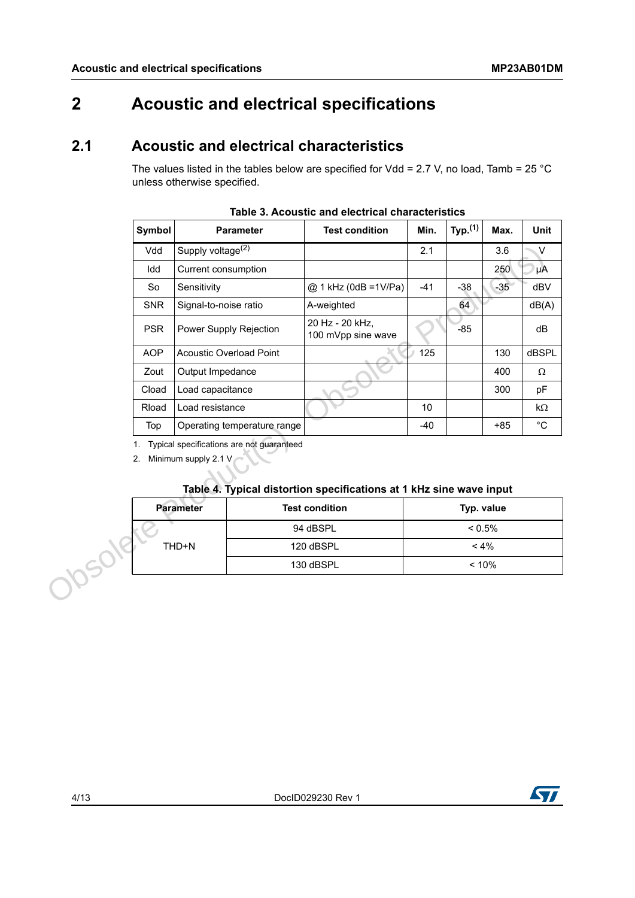## <span id="page-3-0"></span>**2 Acoustic and electrical specifications**

### <span id="page-3-1"></span>**2.1 Acoustic and electrical characteristics**

The values listed in the tables below are specified for Vdd = 2.7 V, no load, Tamb = 25 °C unless otherwise specified.

| Symbol     |                               | <b>Parameter</b>                          | <b>Test condition</b>                                               | Min.  | Typ. $(1)$ | Max.  | Unit              |  |
|------------|-------------------------------|-------------------------------------------|---------------------------------------------------------------------|-------|------------|-------|-------------------|--|
| Vdd        | Supply voltage <sup>(2)</sup> |                                           |                                                                     | 2.1   |            | 3.6   | $\mathsf{V}$      |  |
| Idd        | Current consumption           |                                           |                                                                     |       |            | 250   | μA                |  |
| So         | Sensitivity                   |                                           | @ 1 kHz (0dB = 1 V/Pa)                                              | $-41$ | $-38$      | $-35$ | dBV               |  |
| <b>SNR</b> | Signal-to-noise ratio         |                                           | A-weighted                                                          |       | 64         |       | dB(A)             |  |
| <b>PSR</b> |                               | Power Supply Rejection                    | 20 Hz - 20 kHz,<br>100 mVpp sine wave                               |       | $-85$      |       | dB                |  |
| <b>AOP</b> |                               | <b>Acoustic Overload Point</b>            |                                                                     | 125   |            | 130   | <b>dBSPL</b>      |  |
| Zout       | Output Impedance              |                                           |                                                                     |       |            | 400   | $\Omega$          |  |
| Cload      | Load capacitance              |                                           |                                                                     |       |            | 300   | pF                |  |
| Rload      | Load resistance               |                                           |                                                                     | 10    |            |       | $k\Omega$         |  |
| Top        |                               | Operating temperature range               |                                                                     | $-40$ |            | $+85$ | $^{\circ}{\rm C}$ |  |
| 1.<br>2.   | Minimum supply 2.1 V          | Typical specifications are not guaranteed |                                                                     |       |            |       |                   |  |
|            |                               |                                           | Table 4. Typical distortion specifications at 1 kHz sine wave input |       |            |       |                   |  |
|            | <b>Parameter</b>              |                                           | <b>Test condition</b>                                               |       | Typ. value |       |                   |  |
|            |                               |                                           | 94 dBSPL                                                            |       | $< 0.5\%$  |       |                   |  |
| Josole     | THD+N                         |                                           | 120 dBSPL                                                           |       | $< 4\%$    |       |                   |  |

**Table 3. Acoustic and electrical characteristics**

#### **Table 4. Typical distortion specifications at 1 kHz sine wave input**

| <b>Parameter</b> | <b>Test condition</b> | Typ. value |
|------------------|-----------------------|------------|
|                  | 94 dBSPL              | $< 0.5\%$  |
| THD+N            | 120 dBSPL             | $< 4\%$    |
|                  | 130 dBSPL             | < 10%      |

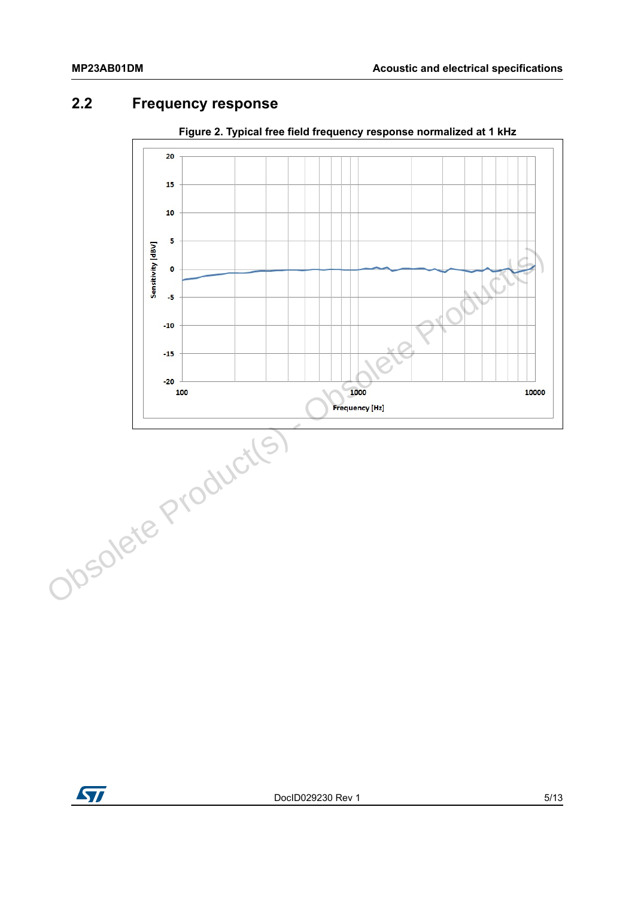### <span id="page-4-0"></span>**2.2 Frequency response**



**Figure 2. Typical free field frequency response normalized at 1 kHz**

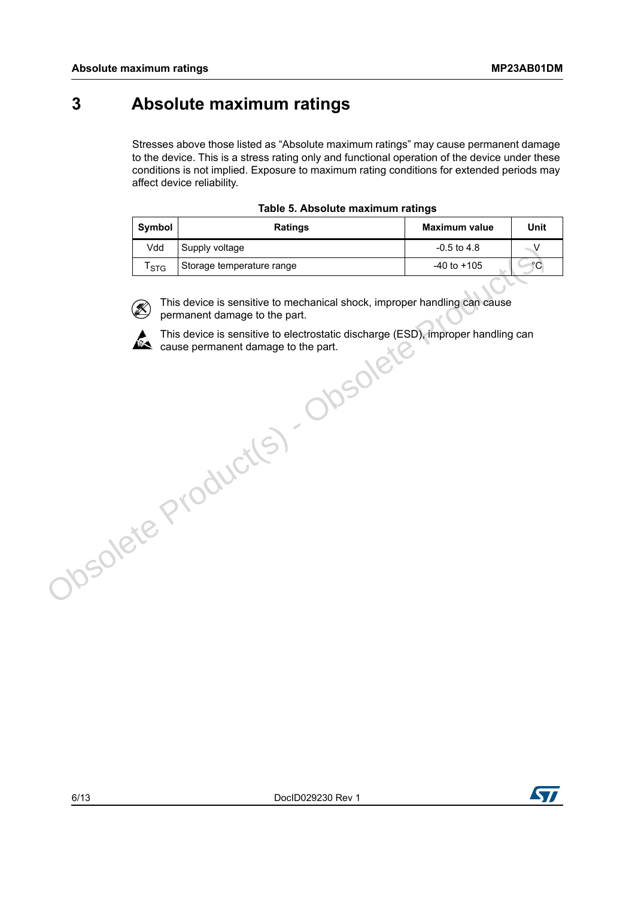### <span id="page-5-0"></span>**3 Absolute maximum ratings**

Stresses above those listed as "Absolute maximum ratings" may cause permanent damage to the device. This is a stress rating only and functional operation of the device under these conditions is not implied. Exposure to maximum rating conditions for extended periods may affect device reliability.

| Symbol    | <b>Ratings</b>                                                                                                                                          | <b>Maximum value</b> | Unit         |
|-----------|---------------------------------------------------------------------------------------------------------------------------------------------------------|----------------------|--------------|
| Vdd       | Supply voltage                                                                                                                                          | $-0.5$ to $4.8$      | V            |
| $T_{STG}$ | Storage temperature range                                                                                                                               | $-40$ to $+105$      | $^{\circ}$ C |
| Z)        | This device is sensitive to mechanical shock, improper handling can cause<br>permanent damage to the part.                                              |                      |              |
| A         | This device is sensitive to electrostatic discharge (ESD), improper handling can<br>cause permanent damage to the part.<br>nsolet<br>Obsolete Products) |                      |              |





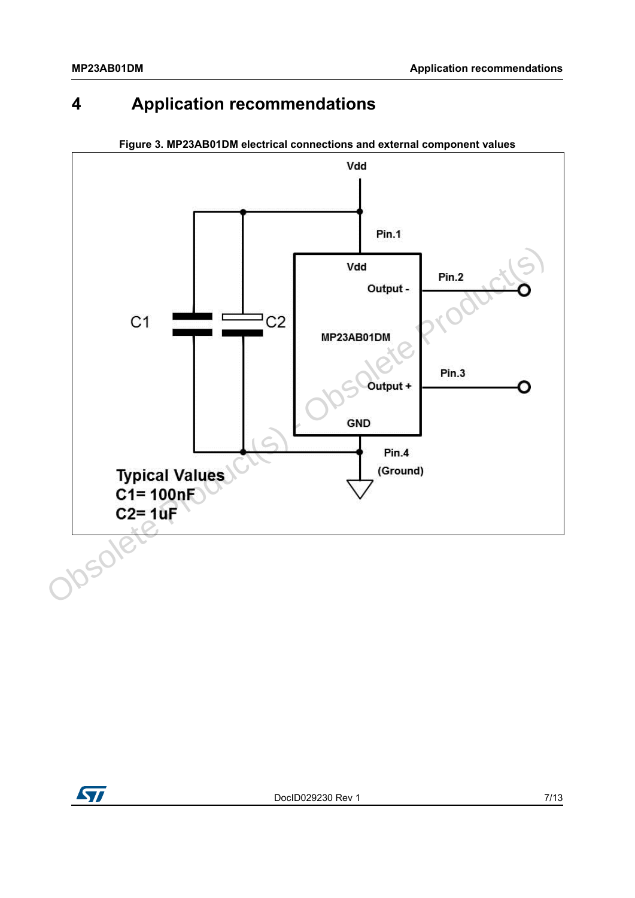## <span id="page-6-0"></span>**4 Application recommendations**



**Figure 3. MP23AB01DM electrical connections and external component values**

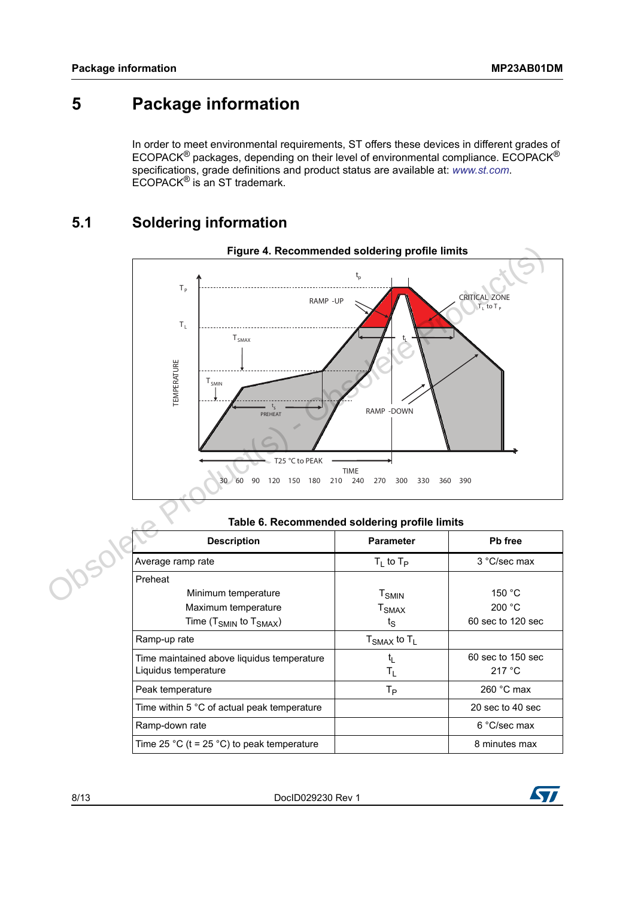### <span id="page-7-0"></span>**5 Package information**

In order to meet environmental requirements, ST offers these devices in different grades of ECOPACK® packages, depending on their level of environmental compliance. ECOPACK® specifications, grade definitions and product status are available at: *[www.st.com](http://www.st.com)*. ECOPACK® is an ST trademark.

#### <span id="page-7-1"></span>**5.1 Soldering information**



| Table 6. Recommended soldering profile limits |                           |                   |  |  |  |
|-----------------------------------------------|---------------------------|-------------------|--|--|--|
| <b>Description</b>                            | <b>Parameter</b>          | Pb free           |  |  |  |
| Average ramp rate                             | $T_1$ to $T_P$            | 3 °C/sec max      |  |  |  |
| Preheat                                       |                           |                   |  |  |  |
| Minimum temperature                           | ${\tt T}_{\sf SMIN}$      | 150 $^{\circ}$ C  |  |  |  |
| Maximum temperature                           | $T_{\mathsf{SMAX}}$       | 200 °C            |  |  |  |
| Time ( $T_{SMIN}$ to $T_{SMAX}$ )             | $t_{\rm S}$               | 60 sec to 120 sec |  |  |  |
| Ramp-up rate                                  | $T_{SMAX}$ to $T_L$       |                   |  |  |  |
| Time maintained above liquidus temperature    | t,                        | 60 sec to 150 sec |  |  |  |
| Liquidus temperature                          | $\mathsf{T}_{\mathsf{L}}$ | 217 °C            |  |  |  |
| Peak temperature                              | $T_{\mathsf{P}}$          | 260 $°C$ max      |  |  |  |
| Time within 5 °C of actual peak temperature   |                           | 20 sec to 40 sec  |  |  |  |
| Ramp-down rate                                |                           | 6 °C/sec max      |  |  |  |
| Time 25 °C (t = 25 °C) to peak temperature    |                           | 8 minutes max     |  |  |  |

#### **Table 6. Recommended soldering profile limits**

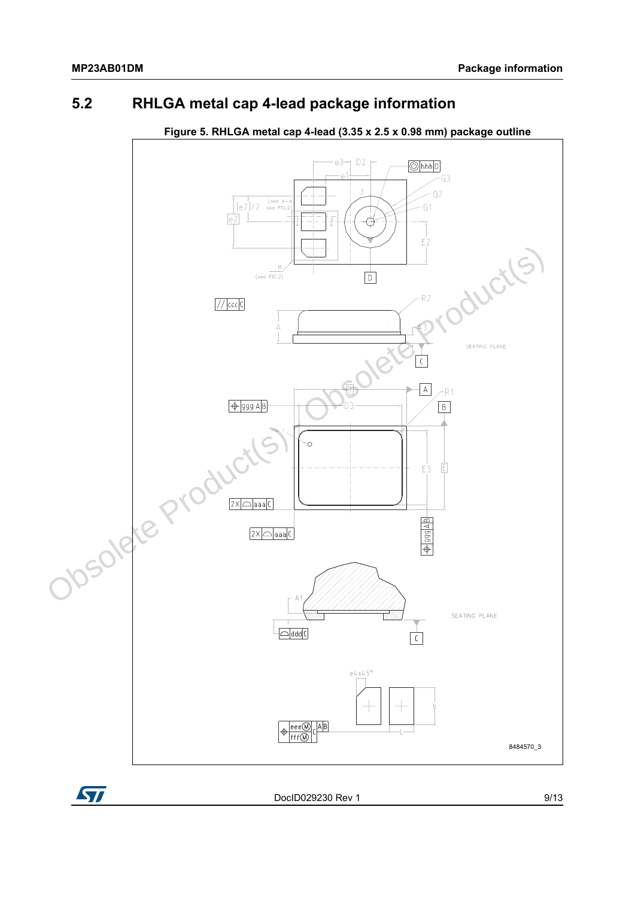#### <span id="page-8-0"></span>**5.2 RHLGA metal cap 4-lead package information**



#### **Figure 5. RHLGA metal cap 4-lead (3.35 x 2.5 x 0.98 mm) package outline**

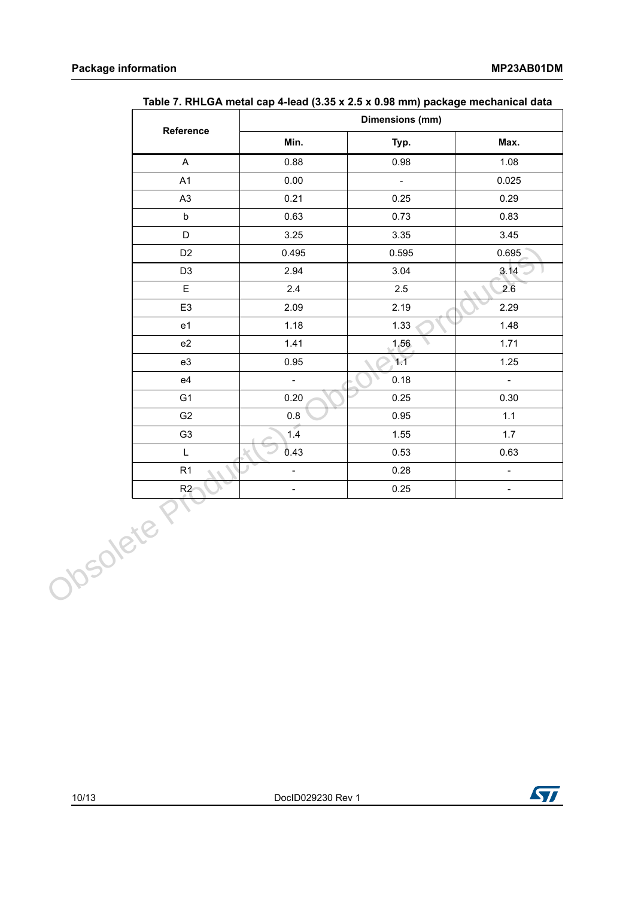| Reference      |                           | Dimensions (mm)  |                           |
|----------------|---------------------------|------------------|---------------------------|
|                | Min.                      | Typ.             | Max.                      |
| $\mathsf{A}$   | 0.88                      | 0.98             | 1.08                      |
| A1             | 0.00                      | $\mathbb{Z}^d$   | 0.025                     |
| A <sub>3</sub> | 0.21                      | 0.25             | 0.29                      |
| $\mathsf b$    | 0.63                      | 0.73             | 0.83                      |
| D              | 3.25                      | 3.35             | 3.45                      |
| D <sub>2</sub> | 0.495                     | 0.595            | 0.695                     |
| D <sub>3</sub> | 2.94                      | 3.04             | 3.14                      |
| E              | 2.4                       | $2.5\phantom{0}$ | 2.6                       |
| E <sub>3</sub> | 2.09                      | 2.19             | 2.29                      |
| e <sub>1</sub> | 1.18                      | 1.33             | 1.48                      |
| e2             | 1.41                      | 1.56             | 1.71                      |
| e3             | 0.95                      | 1.1              | 1.25                      |
| e4             | $\mathbb{Z}^{\mathbb{Z}}$ | 0.18             | $\mathbb{L}^{\mathbb{N}}$ |
| G <sub>1</sub> | 0.20                      | 0.25             | 0.30                      |
| G <sub>2</sub> | 0.8                       | 0.95             | 1.1                       |
| G <sub>3</sub> | 1.4                       | 1.55             | 1.7                       |
| $\mathsf{L}$   | 0.43                      | 0.53             | 0.63                      |
| R1             | $\omega$                  | 0.28             | $\mathbb{Z}^{\mathbb{Z}}$ |
| R2<br>Obsolete | $\frac{1}{\sqrt{2}}$      | 0.25             | $\equiv$                  |

|  |  |  | Table 7. RHLGA metal cap 4-lead (3.35 x 2.5 x 0.98 mm) package mechanical data |
|--|--|--|--------------------------------------------------------------------------------|
|--|--|--|--------------------------------------------------------------------------------|

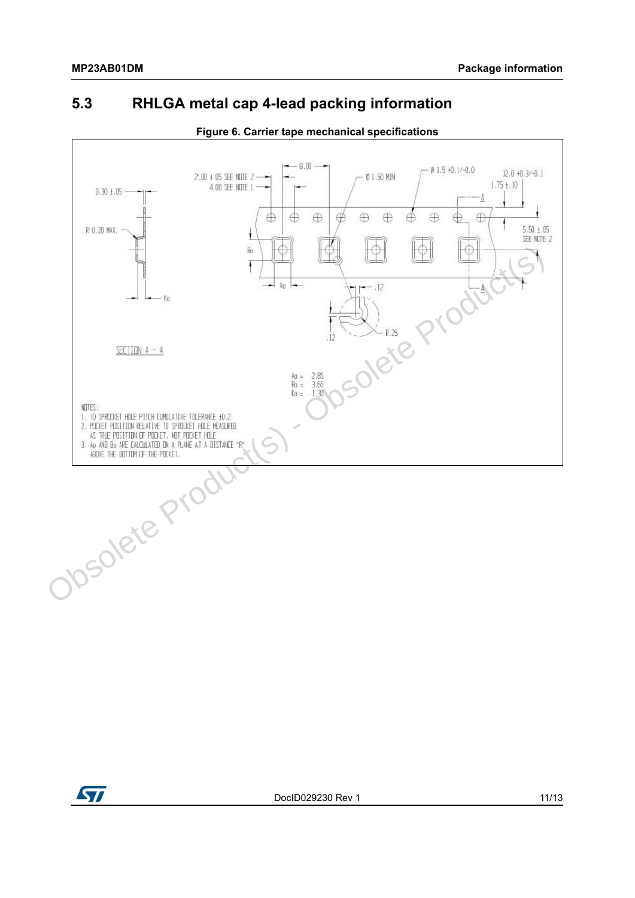#### <span id="page-10-0"></span>**5.3 RHLGA metal cap 4-lead packing information**



**Figure 6. Carrier tape mechanical specifications**



DocID029230 Rev 1 11/13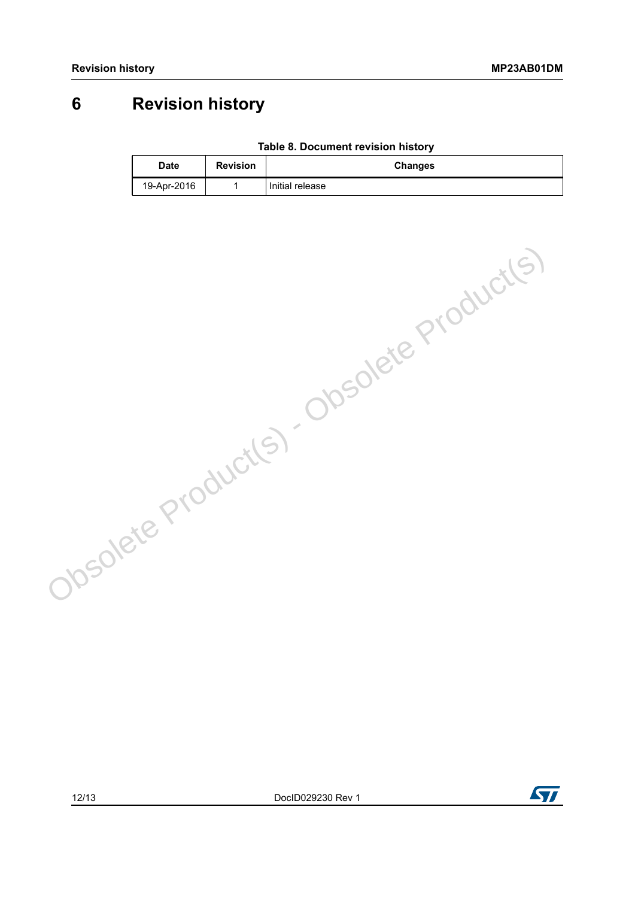## <span id="page-11-0"></span>**6 Revision history**

|  | Table 8. Document revision history |  |  |
|--|------------------------------------|--|--|
|--|------------------------------------|--|--|

| <b>Date</b> | <b>Revision</b> | <b>Changes</b>  |
|-------------|-----------------|-----------------|
| 19-Apr-2016 |                 | Initial release |

Obsolete Product(s) - Obsolete Product(s)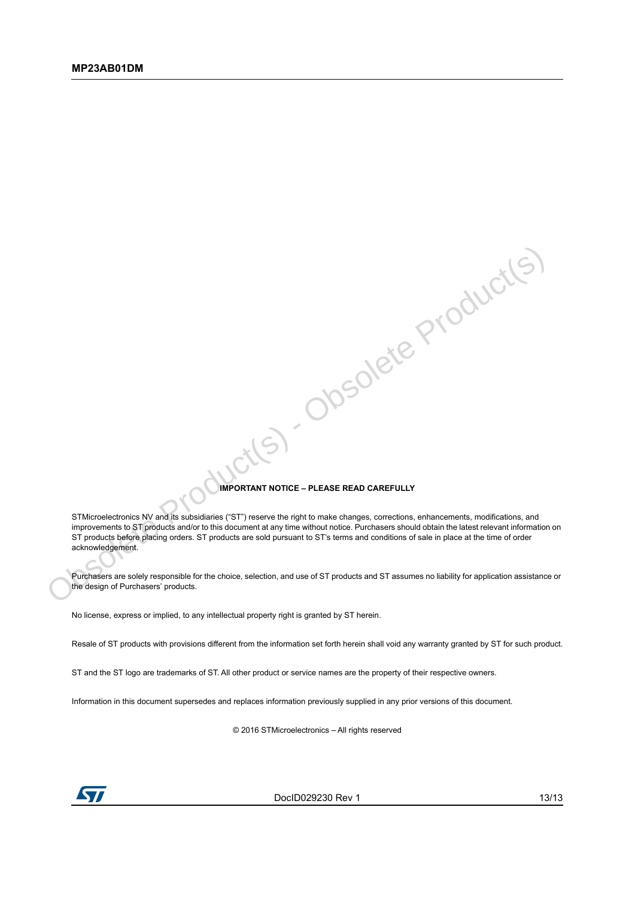#### **IMPORTANT NOTICE – PLEASE READ CAREFULLY**

SI-Obsolete Product(s)

STMicroelectronics NV and its subsidiaries ("ST") reserve the right to make changes, corrections, enhancements, modifications, and improvements to ST products and/or to this document at any time without notice. Purchasers should obtain the latest relevant information on ST products before placing orders. ST products are sold pursuant to ST's terms and conditions of sale in place at the time of order acknowledgement.

Purchasers are solely responsible for the choice, selection, and use of ST products and ST assumes no liability for application assistance or the design of Purchasers' products.

No license, express or implied, to any intellectual property right is granted by ST herein.

Resale of ST products with provisions different from the information set forth herein shall void any warranty granted by ST for such product.

ST and the ST logo are trademarks of ST. All other product or service names are the property of their respective owners.

Information in this document supersedes and replaces information previously supplied in any prior versions of this document.

© 2016 STMicroelectronics – All rights reserved



DocID029230 Rev 1 13/13